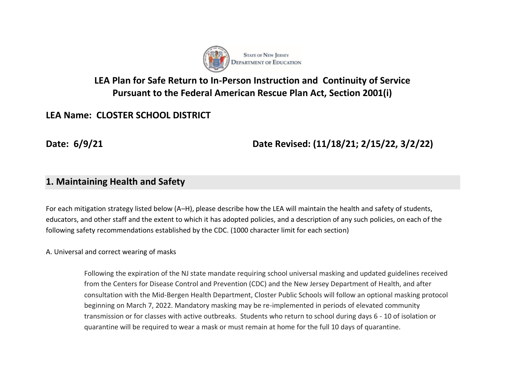

# **LEA Plan for Safe Return to In-Person Instruction and Continuity of Service Pursuant to the Federal American Rescue Plan Act, Section 2001(i)**

# **LEA Name: CLOSTER SCHOOL DISTRICT**

**Date: 6/9/21 Date Revised: (11/18/21; 2/15/22, 3/2/22)**

## **1. Maintaining Health and Safety**

For each mitigation strategy listed below (A–H), please describe how the LEA will maintain the health and safety of students, educators, and other staff and the extent to which it has adopted policies, and a description of any such policies, on each of the following safety recommendations established by the CDC. (1000 character limit for each section)

A. Universal and correct wearing of masks

Following the expiration of the NJ state mandate requiring school universal masking and updated guidelines received from the Centers for Disease Control and Prevention (CDC) and the New Jersey Department of Health, and after consultation with the Mid-Bergen Health Department, Closter Public Schools will follow an optional masking protocol beginning on March 7, 2022. Mandatory masking may be re-implemented in periods of elevated community transmission or for classes with active outbreaks. Students who return to school during days 6 - 10 of isolation or quarantine will be required to wear a mask or must remain at home for the full 10 days of quarantine.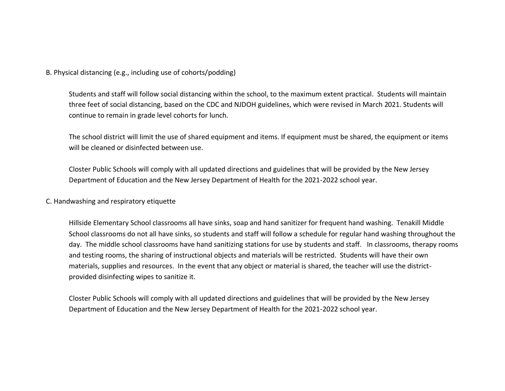B. Physical distancing (e.g., including use of cohorts/podding)

Students and staff will follow social distancing within the school, to the maximum extent practical. Students will maintain three feet of social distancing, based on the CDC and NJDOH guidelines, which were revised in March 2021. Students will continue to remain in grade level cohorts for lunch.

The school district will limit the use of shared equipment and items. If equipment must be shared, the equipment or items will be cleaned or disinfected between use.

Closter Public Schools will comply with all updated directions and guidelines that will be provided by the New Jersey Department of Education and the New Jersey Department of Health for the 2021-2022 school year.

#### C. Handwashing and respiratory etiquette

Hillside Elementary School classrooms all have sinks, soap and hand sanitizer for frequent hand washing. Tenakill Middle School classrooms do not all have sinks, so students and staff will follow a schedule for regular hand washing throughout the day. The middle school classrooms have hand sanitizing stations for use by students and staff. In classrooms, therapy rooms and testing rooms, the sharing of instructional objects and materials will be restricted. Students will have their own materials, supplies and resources. In the event that any object or material is shared, the teacher will use the districtprovided disinfecting wipes to sanitize it.

Closter Public Schools will comply with all updated directions and guidelines that will be provided by the New Jersey Department of Education and the New Jersey Department of Health for the 2021-2022 school year.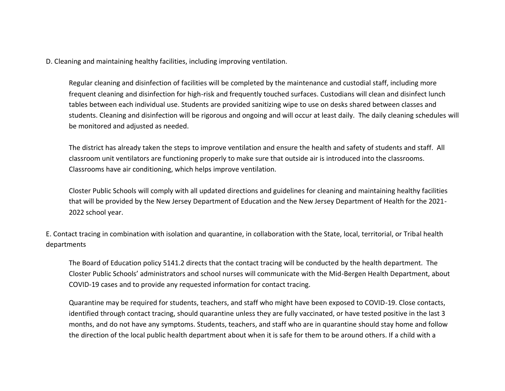D. Cleaning and maintaining healthy facilities, including improving ventilation.

Regular cleaning and disinfection of facilities will be completed by the maintenance and custodial staff, including more frequent cleaning and disinfection for high-risk and frequently touched surfaces. Custodians will clean and disinfect lunch tables between each individual use. Students are provided sanitizing wipe to use on desks shared between classes and students. Cleaning and disinfection will be rigorous and ongoing and will occur at least daily. The daily cleaning schedules will be monitored and adjusted as needed.

The district has already taken the steps to improve ventilation and ensure the health and safety of students and staff. All classroom unit ventilators are functioning properly to make sure that outside air is introduced into the classrooms. Classrooms have air conditioning, which helps improve ventilation.

Closter Public Schools will comply with all updated directions and guidelines for cleaning and maintaining healthy facilities that will be provided by the New Jersey Department of Education and the New Jersey Department of Health for the 2021- 2022 school year.

E. Contact tracing in combination with isolation and quarantine, in collaboration with the State, local, territorial, or Tribal health departments

The Board of Education policy 5141.2 directs that the contact tracing will be conducted by the health department. The Closter Public Schools' administrators and school nurses will communicate with the Mid-Bergen Health Department, about COVID-19 cases and to provide any requested information for contact tracing.

Quarantine may be required for students, teachers, and staff who might have been exposed to COVID-19. Close contacts, identified through contact tracing, should quarantine unless they are fully vaccinated, or have tested positive in the last 3 months, and do not have any symptoms. Students, teachers, and staff who are in quarantine should stay home and follow the direction of the local public health department about when it is safe for them to be around others. If a child with a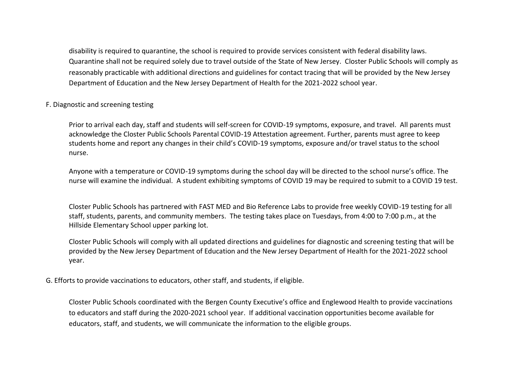disability is required to quarantine, the school is required to provide services consistent with federal disability laws. Quarantine shall not be required solely due to travel outside of the State of New Jersey. Closter Public Schools will comply as reasonably practicable with additional directions and guidelines for contact tracing that will be provided by the New Jersey Department of Education and the New Jersey Department of Health for the 2021-2022 school year.

#### F. Diagnostic and screening testing

Prior to arrival each day, staff and students will self-screen for COVID-19 symptoms, exposure, and travel. All parents must acknowledge the Closter Public Schools Parental COVID-19 Attestation agreement. Further, parents must agree to keep students home and report any changes in their child's COVID-19 symptoms, exposure and/or travel status to the school nurse.

Anyone with a temperature or COVID-19 symptoms during the school day will be directed to the school nurse's office. The nurse will examine the individual. A student exhibiting symptoms of COVID 19 may be required to submit to a COVID 19 test.

Closter Public Schools has partnered with FAST MED and Bio Reference Labs to provide free weekly COVID-19 testing for all staff, students, parents, and community members. The testing takes place on Tuesdays, from 4:00 to 7:00 p.m., at the Hillside Elementary School upper parking lot.

Closter Public Schools will comply with all updated directions and guidelines for diagnostic and screening testing that will be provided by the New Jersey Department of Education and the New Jersey Department of Health for the 2021-2022 school year.

G. Efforts to provide vaccinations to educators, other staff, and students, if eligible.

Closter Public Schools coordinated with the Bergen County Executive's office and Englewood Health to provide vaccinations to educators and staff during the 2020-2021 school year. If additional vaccination opportunities become available for educators, staff, and students, we will communicate the information to the eligible groups.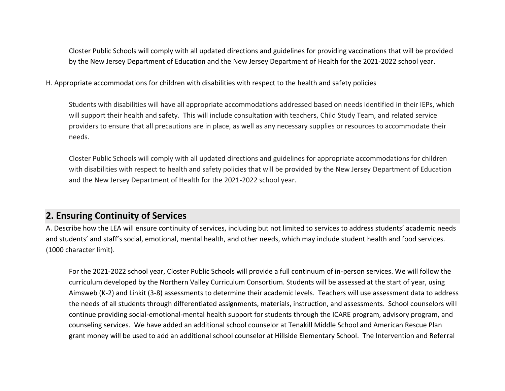Closter Public Schools will comply with all updated directions and guidelines for providing vaccinations that will be provided by the New Jersey Department of Education and the New Jersey Department of Health for the 2021-2022 school year.

H. Appropriate accommodations for children with disabilities with respect to the health and safety policies

Students with disabilities will have all appropriate accommodations addressed based on needs identified in their IEPs, which will support their health and safety. This will include consultation with teachers, Child Study Team, and related service providers to ensure that all precautions are in place, as well as any necessary supplies or resources to accommodate their needs.

Closter Public Schools will comply with all updated directions and guidelines for appropriate accommodations for children with disabilities with respect to health and safety policies that will be provided by the New Jersey Department of Education and the New Jersey Department of Health for the 2021-2022 school year.

## **2. Ensuring Continuity of Services**

A. Describe how the LEA will ensure continuity of services, including but not limited to services to address students' academic needs and students' and staff's social, emotional, mental health, and other needs, which may include student health and food services. (1000 character limit).

For the 2021-2022 school year, Closter Public Schools will provide a full continuum of in-person services. We will follow the curriculum developed by the Northern Valley Curriculum Consortium. Students will be assessed at the start of year, using Aimsweb (K-2) and Linkit (3-8) assessments to determine their academic levels. Teachers will use assessment data to address the needs of all students through differentiated assignments, materials, instruction, and assessments. School counselors will continue providing social-emotional-mental health support for students through the ICARE program, advisory program, and counseling services. We have added an additional school counselor at Tenakill Middle School and American Rescue Plan grant money will be used to add an additional school counselor at Hillside Elementary School. The Intervention and Referral